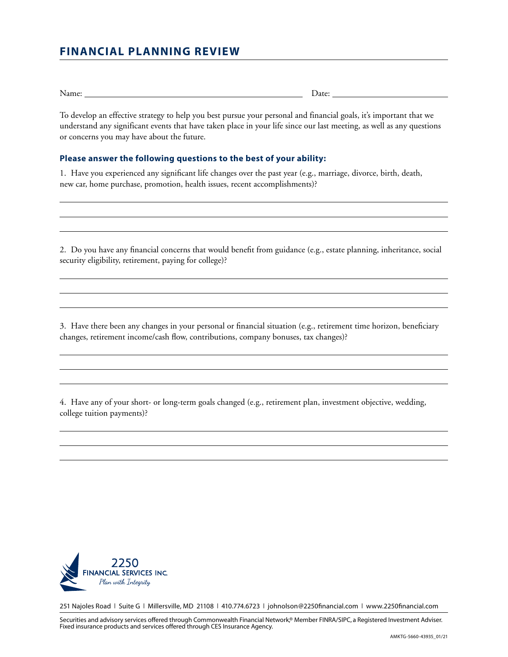## **FINANCIAL PLANNING REVIEW**

Name: Date: Detector Date: Date: Date: Date: Date: Date: Date: Date: Date: Date: Date: Date: Date: Date: Date: Date: Date: Date: Date: Date: Date: Date: Date: Date: Date: Date: Date: Date: Date: Date: Date: Date: Date: Dat

To develop an effective strategy to help you best pursue your personal and financial goals, it's important that we understand any significant events that have taken place in your life since our last meeting, as well as any questions or concerns you may have about the future.

## **Please answer the following questions to the best of your ability:**

1. Have you experienced any significant life changes over the past year (e.g., marriage, divorce, birth, death, new car, home purchase, promotion, health issues, recent accomplishments)?

2. Do you have any financial concerns that would benefit from guidance (e.g., estate planning, inheritance, social security eligibility, retirement, paying for college)?

3. Have there been any changes in your personal or financial situation (e.g., retirement time horizon, beneficiary changes, retirement income/cash flow, contributions, company bonuses, tax changes)?

4. Have any of your short- or long-term goals changed (e.g., retirement plan, investment objective, wedding, college tuition payments)?



251 Najoles Road | Suite G | Millersville, MD 21108 | 410.774.6723 | johnolson@2250financial.com | www.2250financial.com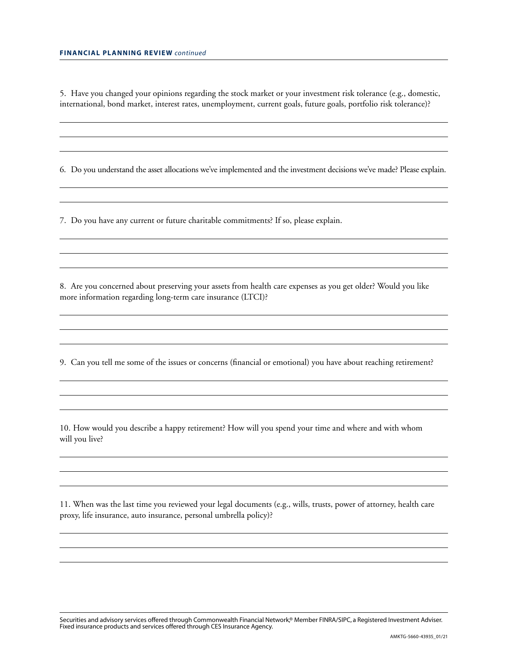5. Have you changed your opinions regarding the stock market or your investment risk tolerance (e.g., domestic, international, bond market, interest rates, unemployment, current goals, future goals, portfolio risk tolerance)?

6. Do you understand the asset allocations we've implemented and the investment decisions we've made? Please explain.

7. Do you have any current or future charitable commitments? If so, please explain.

8. Are you concerned about preserving your assets from health care expenses as you get older? Would you like more information regarding long-term care insurance (LTCI)?

9. Can you tell me some of the issues or concerns (financial or emotional) you have about reaching retirement?

10. How would you describe a happy retirement? How will you spend your time and where and with whom will you live?

11. When was the last time you reviewed your legal documents (e.g., wills, trusts, power of attorney, health care proxy, life insurance, auto insurance, personal umbrella policy)?

Securities and advisory services offered through Commonwealth Financial Network,® Member FINRA/SIPC, a Registered Investment Adviser. Fixed insurance products and services offered through CES Insurance Agency.